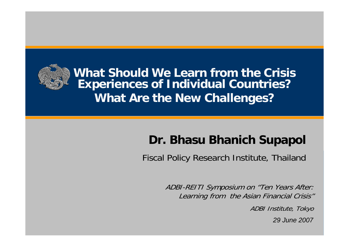

**What Should We Learn from the Crisis Experiences of Individual Countries? What Are the New Challenges?**

## **Dr. Bhasu Bhanich Supapol**

Fiscal Policy Research Institute, Thailand

ADBI-REITI Symposium on "Ten Years After: Learning from the Asian Financial Crisis"

ADBI Institute, Tokyo

*29 June 2007*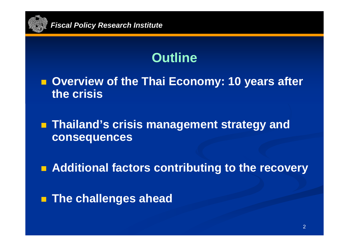

# **Outline**

■ Overview of the Thai Economy: 10 years after **the crisis**

 **Thailand's crisis management strategy and consequences**

**Radditional factors contributing to the recovery** 

**The challenges ahead**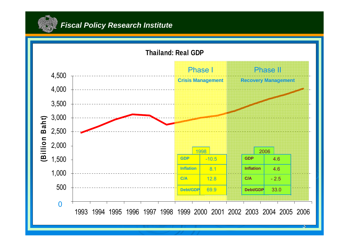

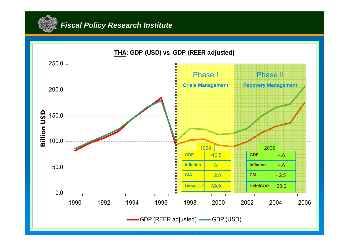

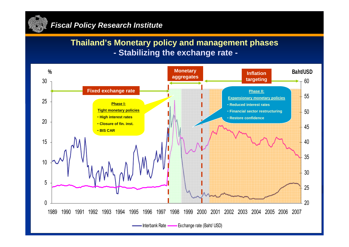

### **Thailand's Monetary policy and management phases - Stabilizing the exchange rate -**

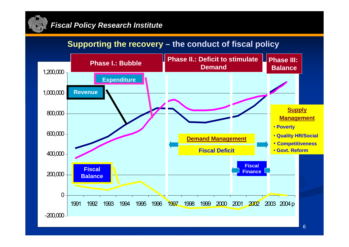

### **Supporting the recovery – the conduct of fiscal policy**

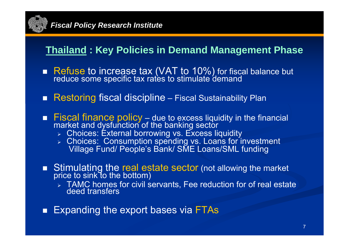

## **Thailand : Key Policies in Demand Management Phase**

- Refuse to increase tax (VAT to 10%) for fiscal balance but reduce some specific tax rates to stimulate demand
- **Restoring fiscal discipline** Fiscal Sustainability Plan
- Fiscal finance policy due to excess liquidity in the financial<br>market and dysfunction of the banking sector
	- ¾ Choices: External borrowing vs. Excess liquidity
	- ¾ Choices: Consumption spending vs. Loans for investment Village Fund/ People's Bank/ SME Loans/SML funding
- Stimulating the real estate sector (not allowing the market price to sink to the bottom)
	- $\triangleright$  TAMC homes for civil servants, Fee reduction for of real estate deed transfers
- Ξ Expanding the export bases via FTAs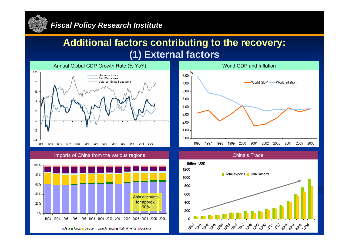

### **Additional factors contributing to the recovery: (1) External factors**



Imports of China from the various regions







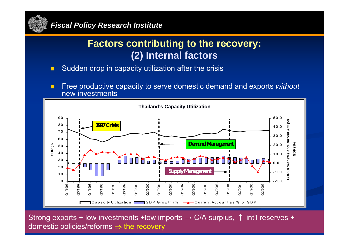

## **Factors contributing to the recovery: (2) Internal factors**

- $\blacksquare$ Sudden drop in capacity utilization after the crisis
- п Free productive capacity to serve domestic demand and exports *without* new investments



Strong exports + low investments +low imports  $\rightarrow$  C/A surplus, 1 int'l reserves + domestic policies/reforms ⇒ the recovery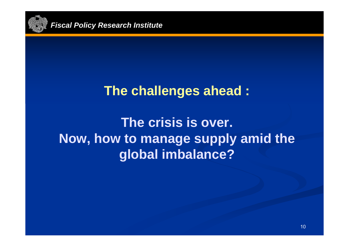

# **The challenges ahead :**

# **The crisis is over. Now, how to manage supply amid the global imbalance?**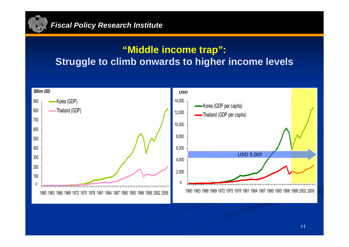

## **"Middle income trap": Struggle to climb onwards to higher income levels**

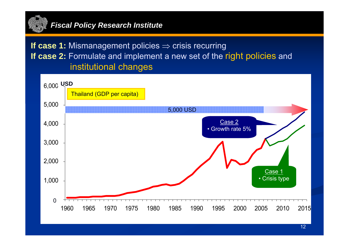

**If case 1:** Mismanagement policies ⇒ crisis recurring **If case 2:** Formulate and implement a new set of the right policies and institutional changes

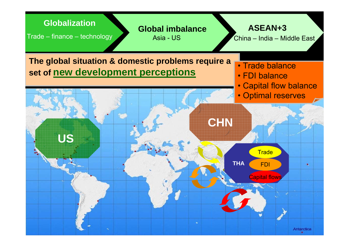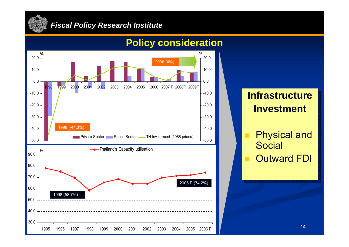



## **Policy consideration**

## **Infrastructure InvestmentInvestment**

- $\mathcal{L}_{\mathcal{A}}$ ■ Physical and Social Social
- $\mathcal{L}_{\mathcal{A}}$ ■ Outward FDI